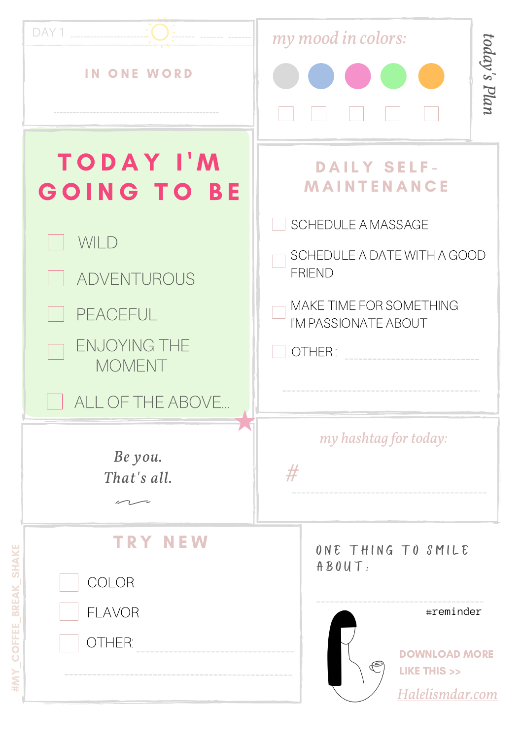| DAY 1<br><b>IN ONE WORD</b>                                          | my mood in colors:<br>today's Plan                                                                                       |  |  |
|----------------------------------------------------------------------|--------------------------------------------------------------------------------------------------------------------------|--|--|
| <b>TODAY I'M</b><br><b>GOING TO BE</b>                               | <b>DAILY SELF-</b><br><b>MAINTENANCE</b><br><b>SCHEDULE A MASSAGE</b><br>SCHEDULE A DATE WITH A GOOD<br><b>FRIEND</b>    |  |  |
| WILD<br>ADVENTUROUS                                                  |                                                                                                                          |  |  |
| PEACEFUL<br><b>ENJOYING THE</b><br><b>MOMENT</b>                     | MAKE TIME FOR SOMETHING<br>I'M PASSIONATE ABOUT<br>OTHER:                                                                |  |  |
| ALL OF THE ABOVE<br>Be you.<br>That's all.<br>$\curvearrowright$ $-$ | my hashtag for today:<br>#                                                                                               |  |  |
| <b>NEW</b><br>TRY<br>COLOR<br><b>FLAVOR</b><br>OTHER:                | ONE THING TO SMILE<br>ABOUT:<br>#reminder<br><b>DOWNLOAD MORE</b><br><b>LIKE THIS &gt;&gt;</b><br><u>Halelismdar.com</u> |  |  |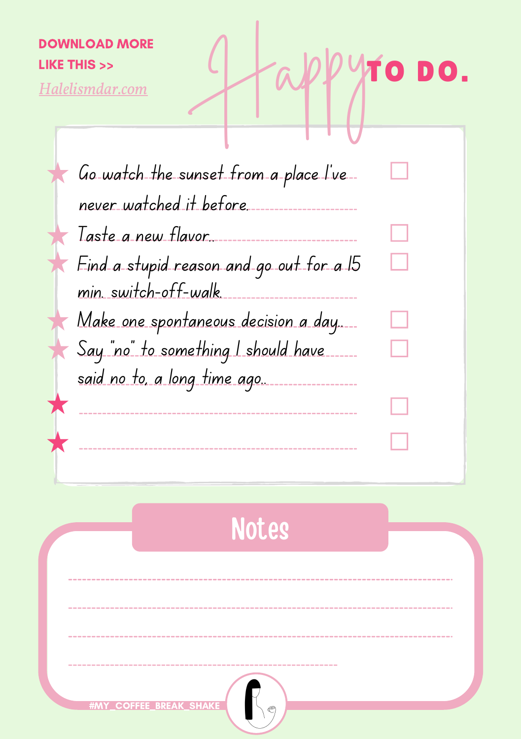## *[Halelismdar.com](https://halelismadar.com/pasion-fun-freedom-the-challenge-that-will-change-your-life)* DOWNLOAD MORE LIKE THIS >>

Go watch the sunset from a place I've never watched it before. Hap yTO DO.

Make one spontaneous decision a day.... Taste a new flavor.. Find a stupid reason and go out for a 15 min. switch-off-walk. Say "no" to something I should have

said no to, a long time ago..

---------------------

**Notes** 

**COFFEE\_BREA**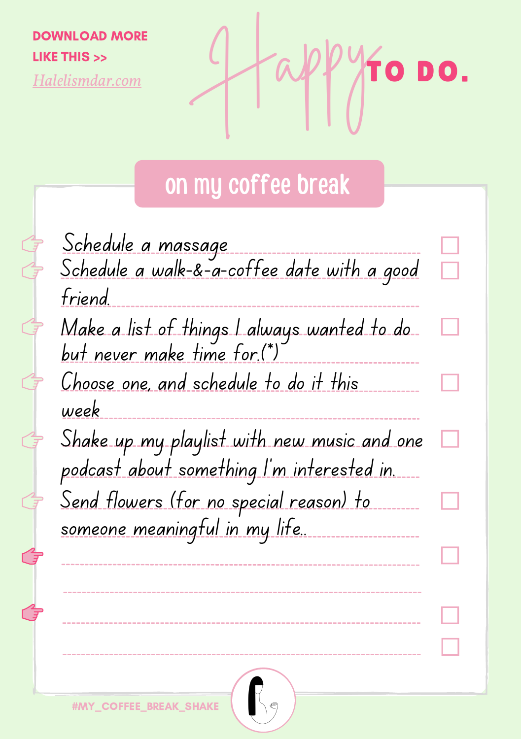DOWNLOAD MORE LIKE THIS >>

*[Halelismdar.com](https://halelismadar.com/pasion-fun-freedom-the-challenge-that-will-change-your-life)*

 $\mathbb{G}$ 

 $\begin{array}{c}\n\mathbf{1} \\
\mathbf{1} \\
\mathbf{1}\n\end{array}$ 

 $\hat{\mathcal{E}}$ 

ᠿ

 $\sqrt[4]{10}$  DO.

## on my coffee break

| <u>Schedule a massage</u><br>Schedule a walk-&-a-coffee date with a good              |  |
|---------------------------------------------------------------------------------------|--|
| friend.<br>Make a list of things I always wanted to do                                |  |
| but never make time for.(*)<br>Choose one, and schedule to do it this                 |  |
| week<br>Shake up my playlist with new music and one                                   |  |
| podcast about something I'm interested in.<br>Send flowers (for no special reason) to |  |
| <u>someone meaningful in my life.</u>                                                 |  |
|                                                                                       |  |
|                                                                                       |  |
| <b>#MY_COFFEE_BREAK_SHAKE</b>                                                         |  |